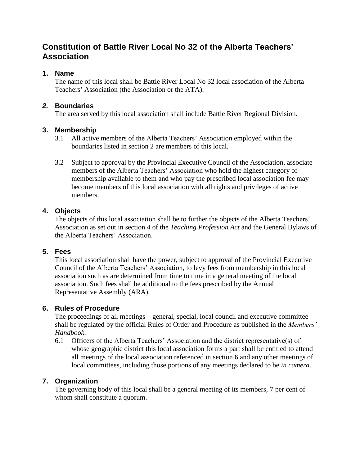# **Constitution of Battle River Local No 32 of the Alberta Teachers' Association**

## **1. Name**

The name of this local shall be Battle River Local No 32 local association of the Alberta Teachers' Association (the Association or the ATA).

## *2.* **Boundaries**

The area served by this local association shall include Battle River Regional Division.

# **3. Membership**

- 3.1 All active members of the Alberta Teachers' Association employed within the boundaries listed in section 2 are members of this local.
- 3.2 Subject to approval by the Provincial Executive Council of the Association, associate members of the Alberta Teachers' Association who hold the highest category of membership available to them and who pay the prescribed local association fee may become members of this local association with all rights and privileges of active members.

## **4. Objects**

The objects of this local association shall be to further the objects of the Alberta Teachers' Association as set out in section 4 of the *Teaching Profession Act* and the General Bylaws of the Alberta Teachers' Association.

# **5. Fees**

This local association shall have the power, subject to approval of the Provincial Executive Council of the Alberta Teachers' Association, to levy fees from membership in this local association such as are determined from time to time in a general meeting of the local association. Such fees shall be additional to the fees prescribed by the Annual Representative Assembly (ARA).

# **6. Rules of Procedure**

The proceedings of all meetings—general, special, local council and executive committee shall be regulated by the official Rules of Order and Procedure as published in the *Members' Handbook*.

6.1 Officers of the Alberta Teachers' Association and the district representative(s) of whose geographic district this local association forms a part shall be entitled to attend all meetings of the local association referenced in section 6 and any other meetings of local committees, including those portions of any meetings declared to be *in camera*.

# **7. Organization**

The governing body of this local shall be a general meeting of its members, 7 per cent of whom shall constitute a quorum.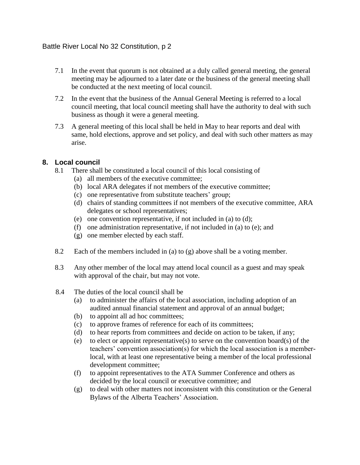- 7.1 In the event that quorum is not obtained at a duly called general meeting, the general meeting may be adjourned to a later date or the business of the general meeting shall be conducted at the next meeting of local council.
- 7.2 In the event that the business of the Annual General Meeting is referred to a local council meeting, that local council meeting shall have the authority to deal with such business as though it were a general meeting.
- 7.3 A general meeting of this local shall be held in May to hear reports and deal with same, hold elections, approve and set policy, and deal with such other matters as may arise.

## **8. Local council**

- 8.1 There shall be constituted a local council of this local consisting of
	- (a) all members of the executive committee;
	- (b) local ARA delegates if not members of the executive committee;
	- (c) one representative from substitute teachers' group;
	- (d) chairs of standing committees if not members of the executive committee, ARA delegates or school representatives;
	- (e) one convention representative, if not included in (a) to (d);
	- (f) one administration representative, if not included in (a) to (e); and
	- (g) one member elected by each staff.
- 8.2 Each of the members included in (a) to (g) above shall be a voting member.
- 8.3 Any other member of the local may attend local council as a guest and may speak with approval of the chair, but may not vote.
- 8.4 The duties of the local council shall be
	- (a) to administer the affairs of the local association, including adoption of an audited annual financial statement and approval of an annual budget;
	- (b) to appoint all ad hoc committees;
	- (c) to approve frames of reference for each of its committees;
	- (d) to hear reports from committees and decide on action to be taken, if any;
	- (e) to elect or appoint representative(s) to serve on the convention board(s) of the teachers' convention association(s) for which the local association is a memberlocal, with at least one representative being a member of the local professional development committee;
	- (f) to appoint representatives to the ATA Summer Conference and others as decided by the local council or executive committee; and
	- (g) to deal with other matters not inconsistent with this constitution or the General Bylaws of the Alberta Teachers' Association.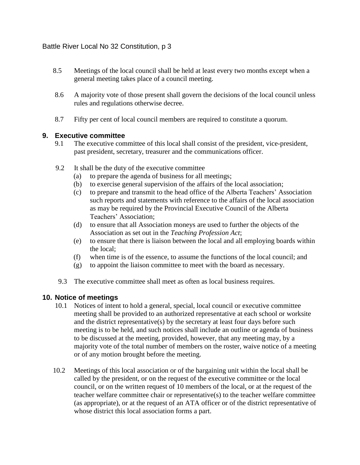- 8.5 Meetings of the local council shall be held at least every two months except when a general meeting takes place of a council meeting.
- 8.6 A majority vote of those present shall govern the decisions of the local council unless rules and regulations otherwise decree.
- 8.7 Fifty per cent of local council members are required to constitute a quorum.

#### **9. Executive committee**

- 9.1 The executive committee of this local shall consist of the president, vice-president, past president, secretary, treasurer and the communications officer.
- 9.2 It shall be the duty of the executive committee
	- (a) to prepare the agenda of business for all meetings;
	- (b) to exercise general supervision of the affairs of the local association;
	- (c) to prepare and transmit to the head office of the Alberta Teachers' Association such reports and statements with reference to the affairs of the local association as may be required by the Provincial Executive Council of the Alberta Teachers' Association;
	- (d) to ensure that all Association moneys are used to further the objects of the Association as set out in the *Teaching Profession Act*;
	- (e) to ensure that there is liaison between the local and all employing boards within the local;
	- (f) when time is of the essence, to assume the functions of the local council; and
	- (g) to appoint the liaison committee to meet with the board as necessary.
	- 9.3 The executive committee shall meet as often as local business requires.

#### **10. Notice of meetings**

- 10.1 Notices of intent to hold a general, special, local council or executive committee meeting shall be provided to an authorized representative at each school or worksite and the district representative(s) by the secretary at least four days before such meeting is to be held, and such notices shall include an outline or agenda of business to be discussed at the meeting, provided, however, that any meeting may, by a majority vote of the total number of members on the roster, waive notice of a meeting or of any motion brought before the meeting.
- 10.2 Meetings of this local association or of the bargaining unit within the local shall be called by the president, or on the request of the executive committee or the local council, or on the written request of 10 members of the local, or at the request of the teacher welfare committee chair or representative(s) to the teacher welfare committee (as appropriate), or at the request of an ATA officer or of the district representative of whose district this local association forms a part.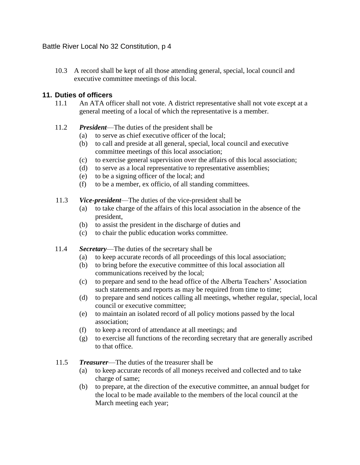10.3 A record shall be kept of all those attending general, special, local council and executive committee meetings of this local.

## **11. Duties of officers**

- 11.1 An ATA officer shall not vote. A district representative shall not vote except at a general meeting of a local of which the representative is a member.
- 11.2 *President*—The duties of the president shall be
	- (a) to serve as chief executive officer of the local;
	- (b) to call and preside at all general, special, local council and executive committee meetings of this local association;
	- (c) to exercise general supervision over the affairs of this local association;
	- (d) to serve as a local representative to representative assemblies;
	- (e) to be a signing officer of the local; and
	- (f) to be a member, ex officio, of all standing committees.
- 11.3 *Vice-president*—The duties of the vice-president shall be
	- (a) to take charge of the affairs of this local association in the absence of the president,
	- (b) to assist the president in the discharge of duties and
	- (c) to chair the public education works committee.
- 11.4 *Secretary*—The duties of the secretary shall be
	- (a) to keep accurate records of all proceedings of this local association;
	- (b) to bring before the executive committee of this local association all communications received by the local;
	- (c) to prepare and send to the head office of the Alberta Teachers' Association such statements and reports as may be required from time to time;
	- (d) to prepare and send notices calling all meetings, whether regular, special, local council or executive committee;
	- (e) to maintain an isolated record of all policy motions passed by the local association;
	- (f) to keep a record of attendance at all meetings; and
	- (g) to exercise all functions of the recording secretary that are generally ascribed to that office.
- 11.5 *Treasurer*—The duties of the treasurer shall be
	- (a) to keep accurate records of all moneys received and collected and to take charge of same;
	- (b) to prepare, at the direction of the executive committee, an annual budget for the local to be made available to the members of the local council at the March meeting each year;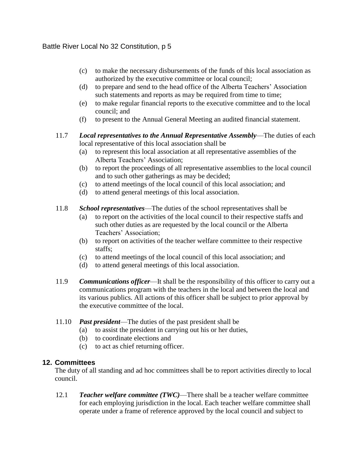- (c) to make the necessary disbursements of the funds of this local association as authorized by the executive committee or local council;
- (d) to prepare and send to the head office of the Alberta Teachers' Association such statements and reports as may be required from time to time;
- (e) to make regular financial reports to the executive committee and to the local council; and
- (f) to present to the Annual General Meeting an audited financial statement.

## 11.7 *Local representatives to the Annual Representative Assembly*—The duties of each local representative of this local association shall be

- (a) to represent this local association at all representative assemblies of the Alberta Teachers' Association;
- (b) to report the proceedings of all representative assemblies to the local council and to such other gatherings as may be decided;
- (c) to attend meetings of the local council of this local association; and
- (d) to attend general meetings of this local association.
- 11.8 *School representatives*—The duties of the school representatives shall be
	- (a) to report on the activities of the local council to their respective staffs and such other duties as are requested by the local council or the Alberta Teachers' Association;
	- (b) to report on activities of the teacher welfare committee to their respective staffs;
	- (c) to attend meetings of the local council of this local association; and
	- (d) to attend general meetings of this local association.
- 11.9 *Communications officer*—It shall be the responsibility of this officer to carry out a communications program with the teachers in the local and between the local and its various publics. All actions of this officer shall be subject to prior approval by the executive committee of the local.
- 11.10 *Past president*—The duties of the past president shall be
	- (a) to assist the president in carrying out his or her duties,
	- (b) to coordinate elections and
	- (c) to act as chief returning officer.

# **12. Committees**

The duty of all standing and ad hoc committees shall be to report activities directly to local council.

12.1 *Teacher welfare committee (TWC)*—There shall be a teacher welfare committee for each employing jurisdiction in the local. Each teacher welfare committee shall operate under a frame of reference approved by the local council and subject to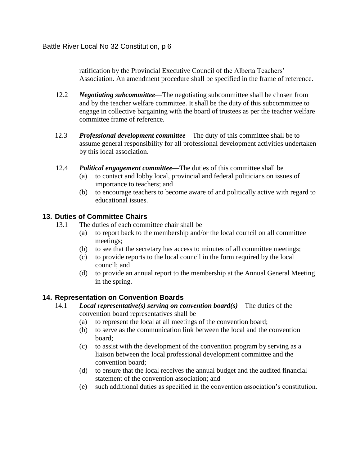ratification by the Provincial Executive Council of the Alberta Teachers' Association. An amendment procedure shall be specified in the frame of reference.

- 12.2 *Negotiating subcommittee*—The negotiating subcommittee shall be chosen from and by the teacher welfare committee. It shall be the duty of this subcommittee to engage in collective bargaining with the board of trustees as per the teacher welfare committee frame of reference.
- 12.3 *Professional development committee*—The duty of this committee shall be to assume general responsibility for all professional development activities undertaken by this local association.
- 12.4 *Political engagement committee*—The duties of this committee shall be
	- (a) to contact and lobby local, provincial and federal politicians on issues of importance to teachers; and
	- (b) to encourage teachers to become aware of and politically active with regard to educational issues.

## **13. Duties of Committee Chairs**

- 13.1 The duties of each committee chair shall be
	- (a) to report back to the membership and/or the local council on all committee meetings;
	- (b) to see that the secretary has access to minutes of all committee meetings;
	- (c) to provide reports to the local council in the form required by the local council; and
	- (d) to provide an annual report to the membership at the Annual General Meeting in the spring.

#### **14. Representation on Convention Boards**

- 14.1 *Local representative(s) serving on convention board(s)*—The duties of the convention board representatives shall be
	- (a) to represent the local at all meetings of the convention board;
	- (b) to serve as the communication link between the local and the convention board;
	- (c) to assist with the development of the convention program by serving as a liaison between the local professional development committee and the convention board;
	- (d) to ensure that the local receives the annual budget and the audited financial statement of the convention association; and
	- (e) such additional duties as specified in the convention association's constitution.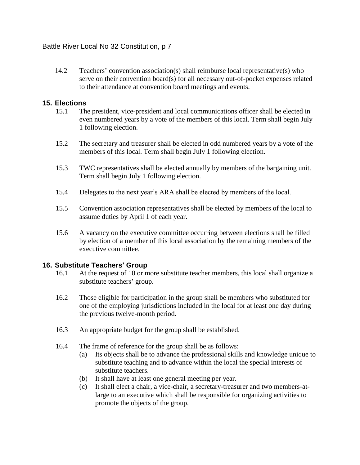14.2 Teachers' convention association(s) shall reimburse local representative(s) who serve on their convention board(s) for all necessary out-of-pocket expenses related to their attendance at convention board meetings and events.

## **15. Elections**

- 15.1 The president, vice-president and local communications officer shall be elected in even numbered years by a vote of the members of this local. Term shall begin July 1 following election.
- 15.2 The secretary and treasurer shall be elected in odd numbered years by a vote of the members of this local. Term shall begin July 1 following election.
- 15.3 TWC representatives shall be elected annually by members of the bargaining unit. Term shall begin July 1 following election.
- 15.4 Delegates to the next year's ARA shall be elected by members of the local.
- 15.5 Convention association representatives shall be elected by members of the local to assume duties by April 1 of each year.
- 15.6 A vacancy on the executive committee occurring between elections shall be filled by election of a member of this local association by the remaining members of the executive committee.

# **16. Substitute Teachers' Group**

- 16.1 At the request of 10 or more substitute teacher members, this local shall organize a substitute teachers' group.
- 16.2 Those eligible for participation in the group shall be members who substituted for one of the employing jurisdictions included in the local for at least one day during the previous twelve-month period.
- 16.3 An appropriate budget for the group shall be established.
- 16.4 The frame of reference for the group shall be as follows:
	- (a) Its objects shall be to advance the professional skills and knowledge unique to substitute teaching and to advance within the local the special interests of substitute teachers.
	- (b) It shall have at least one general meeting per year.
	- (c) It shall elect a chair, a vice-chair, a secretary-treasurer and two members-atlarge to an executive which shall be responsible for organizing activities to promote the objects of the group.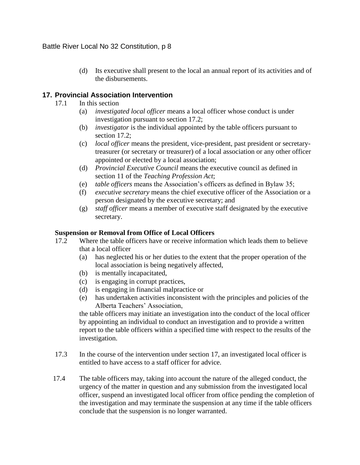(d) Its executive shall present to the local an annual report of its activities and of the disbursements.

# **17. Provincial Association Intervention**

- 17.1 In this section
	- (a) *investigated local officer* means a local officer whose conduct is under investigation pursuant to section 17.2;
	- (b) *investigator* is the individual appointed by the table officers pursuant to section 17.2;
	- (c) *local officer* means the president, vice-president, past president or secretarytreasurer (or secretary or treasurer) of a local association or any other officer appointed or elected by a local association;
	- (d) *Provincial Executive Council* means the executive council as defined in section 11 of the *Teaching Profession Act*;
	- (e) *table officers* means the Association's officers as defined in Bylaw 35;
	- (f) *executive secretary* means the chief executive officer of the Association or a person designated by the executive secretary; and
	- (g) *staff officer* means a member of executive staff designated by the executive secretary.

#### **Suspension or Removal from Office of Local Officers**

- 17.2 Where the table officers have or receive information which leads them to believe that a local officer
	- (a) has neglected his or her duties to the extent that the proper operation of the local association is being negatively affected,
	- (b) is mentally incapacitated,
	- (c) is engaging in corrupt practices,
	- (d) is engaging in financial malpractice or
	- (e) has undertaken activities inconsistent with the principles and policies of the Alberta Teachers' Association,

the table officers may initiate an investigation into the conduct of the local officer by appointing an individual to conduct an investigation and to provide a written report to the table officers within a specified time with respect to the results of the investigation.

- 17.3 In the course of the intervention under section 17, an investigated local officer is entitled to have access to a staff officer for advice.
- 17.4 The table officers may, taking into account the nature of the alleged conduct, the urgency of the matter in question and any submission from the investigated local officer, suspend an investigated local officer from office pending the completion of the investigation and may terminate the suspension at any time if the table officers conclude that the suspension is no longer warranted.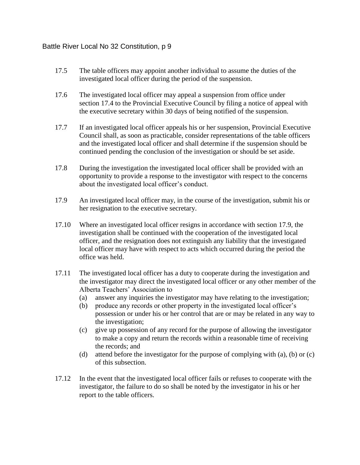- 17.5 The table officers may appoint another individual to assume the duties of the investigated local officer during the period of the suspension.
- 17.6 The investigated local officer may appeal a suspension from office under section 17.4 to the Provincial Executive Council by filing a notice of appeal with the executive secretary within 30 days of being notified of the suspension.
- 17.7 If an investigated local officer appeals his or her suspension, Provincial Executive Council shall, as soon as practicable, consider representations of the table officers and the investigated local officer and shall determine if the suspension should be continued pending the conclusion of the investigation or should be set aside.
- 17.8 During the investigation the investigated local officer shall be provided with an opportunity to provide a response to the investigator with respect to the concerns about the investigated local officer's conduct.
- 17.9 An investigated local officer may, in the course of the investigation, submit his or her resignation to the executive secretary.
- 17.10 Where an investigated local officer resigns in accordance with section 17.9, the investigation shall be continued with the cooperation of the investigated local officer, and the resignation does not extinguish any liability that the investigated local officer may have with respect to acts which occurred during the period the office was held.
- 17.11 The investigated local officer has a duty to cooperate during the investigation and the investigator may direct the investigated local officer or any other member of the Alberta Teachers' Association to
	- (a) answer any inquiries the investigator may have relating to the investigation;
	- (b) produce any records or other property in the investigated local officer's possession or under his or her control that are or may be related in any way to the investigation;
	- (c) give up possession of any record for the purpose of allowing the investigator to make a copy and return the records within a reasonable time of receiving the records; and
	- (d) attend before the investigator for the purpose of complying with (a), (b) or (c) of this subsection.
- 17.12 In the event that the investigated local officer fails or refuses to cooperate with the investigator, the failure to do so shall be noted by the investigator in his or her report to the table officers.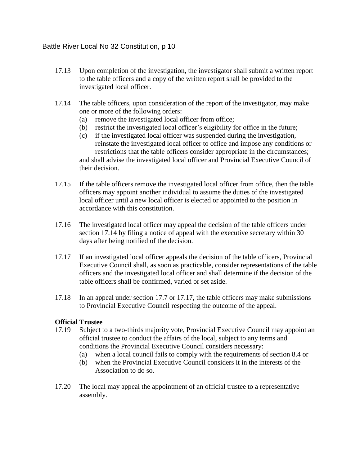- 17.13 Upon completion of the investigation, the investigator shall submit a written report to the table officers and a copy of the written report shall be provided to the investigated local officer.
- 17.14 The table officers, upon consideration of the report of the investigator, may make one or more of the following orders:
	- (a) remove the investigated local officer from office;
	- (b) restrict the investigated local officer's eligibility for office in the future;
	- (c) if the investigated local officer was suspended during the investigation, reinstate the investigated local officer to office and impose any conditions or restrictions that the table officers consider appropriate in the circumstances; and shall advise the investigated local officer and Provincial Executive Council of their decision.
- 17.15 If the table officers remove the investigated local officer from office, then the table officers may appoint another individual to assume the duties of the investigated local officer until a new local officer is elected or appointed to the position in accordance with this constitution.
- 17.16 The investigated local officer may appeal the decision of the table officers under section 17.14 by filing a notice of appeal with the executive secretary within 30 days after being notified of the decision.
- 17.17 If an investigated local officer appeals the decision of the table officers, Provincial Executive Council shall, as soon as practicable, consider representations of the table officers and the investigated local officer and shall determine if the decision of the table officers shall be confirmed, varied or set aside.
- 17.18 In an appeal under section 17.7 or 17.17, the table officers may make submissions to Provincial Executive Council respecting the outcome of the appeal.

#### **Official Trustee**

- 17.19 Subject to a two-thirds majority vote, Provincial Executive Council may appoint an official trustee to conduct the affairs of the local, subject to any terms and conditions the Provincial Executive Council considers necessary:
	- (a) when a local council fails to comply with the requirements of section 8.4 or
	- (b) when the Provincial Executive Council considers it in the interests of the Association to do so.
- 17.20 The local may appeal the appointment of an official trustee to a representative assembly.